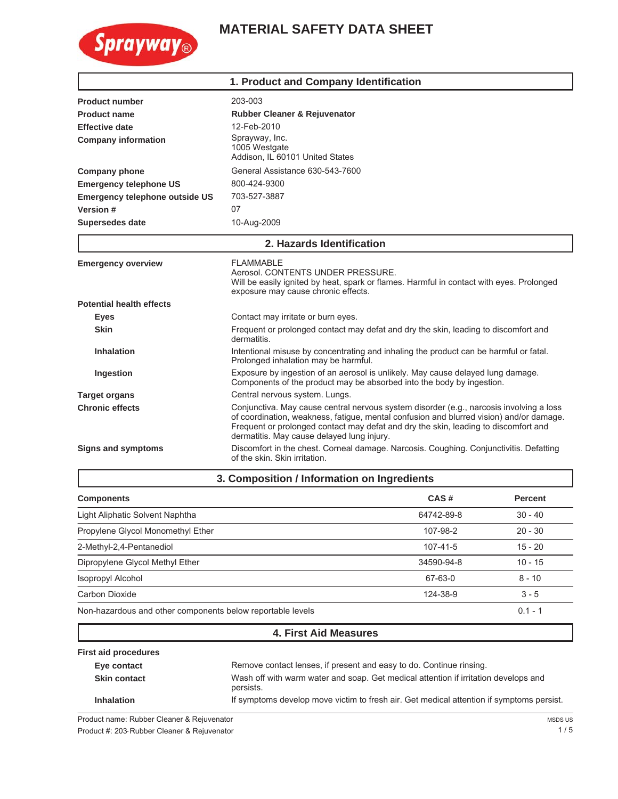

# **MATERIAL SAFETY DATA SHEET**

|                                       | 1. Product and Company Identification                                                                                                                                                                                                                                                                                   |  |  |
|---------------------------------------|-------------------------------------------------------------------------------------------------------------------------------------------------------------------------------------------------------------------------------------------------------------------------------------------------------------------------|--|--|
| <b>Product number</b>                 | 203-003                                                                                                                                                                                                                                                                                                                 |  |  |
| <b>Product name</b>                   | Rubber Cleaner & Rejuvenator                                                                                                                                                                                                                                                                                            |  |  |
| <b>Effective date</b>                 | 12-Feb-2010                                                                                                                                                                                                                                                                                                             |  |  |
| <b>Company information</b>            | Sprayway, Inc.<br>1005 Westgate<br>Addison, IL 60101 United States                                                                                                                                                                                                                                                      |  |  |
| <b>Company phone</b>                  | General Assistance 630-543-7600                                                                                                                                                                                                                                                                                         |  |  |
| <b>Emergency telephone US</b>         | 800-424-9300                                                                                                                                                                                                                                                                                                            |  |  |
| <b>Emergency telephone outside US</b> | 703-527-3887                                                                                                                                                                                                                                                                                                            |  |  |
| Version #                             | 07                                                                                                                                                                                                                                                                                                                      |  |  |
| <b>Supersedes date</b>                | 10-Aug-2009                                                                                                                                                                                                                                                                                                             |  |  |
|                                       | 2. Hazards Identification                                                                                                                                                                                                                                                                                               |  |  |
| <b>Emergency overview</b>             | <b>FLAMMABLE</b><br>Aerosol. CONTENTS UNDER PRESSURE.<br>Will be easily ignited by heat, spark or flames. Harmful in contact with eyes. Prolonged<br>exposure may cause chronic effects.                                                                                                                                |  |  |
| <b>Potential health effects</b>       |                                                                                                                                                                                                                                                                                                                         |  |  |
| <b>Eyes</b>                           | Contact may irritate or burn eyes.                                                                                                                                                                                                                                                                                      |  |  |
| <b>Skin</b>                           | Frequent or prolonged contact may defat and dry the skin, leading to discomfort and<br>dermatitis.                                                                                                                                                                                                                      |  |  |
| <b>Inhalation</b>                     | Intentional misuse by concentrating and inhaling the product can be harmful or fatal.<br>Prolonged inhalation may be harmful.                                                                                                                                                                                           |  |  |
| Ingestion                             | Exposure by ingestion of an aerosol is unlikely. May cause delayed lung damage.<br>Components of the product may be absorbed into the body by ingestion.                                                                                                                                                                |  |  |
| <b>Target organs</b>                  | Central nervous system. Lungs.                                                                                                                                                                                                                                                                                          |  |  |
| <b>Chronic effects</b>                | Conjunctiva. May cause central nervous system disorder (e.g., narcosis involving a loss<br>of coordination, weakness, fatigue, mental confusion and blurred vision) and/or damage.<br>Frequent or prolonged contact may defat and dry the skin, leading to discomfort and<br>dermatitis. May cause delayed lung injury. |  |  |
| <b>Signs and symptoms</b>             | Discomfort in the chest. Corneal damage. Narcosis. Coughing. Conjunctivitis. Defatting<br>of the skin. Skin irritation.                                                                                                                                                                                                 |  |  |
|                                       | 3. Composition / Information on Ingredients                                                                                                                                                                                                                                                                             |  |  |

| <b>Components</b>                                          | CAS#           | <b>Percent</b> |
|------------------------------------------------------------|----------------|----------------|
| Light Aliphatic Solvent Naphtha                            | 64742-89-8     | $30 - 40$      |
| Propylene Glycol Monomethyl Ether                          | 107-98-2       | $20 - 30$      |
| 2-Methyl-2,4-Pentanediol                                   | $107 - 41 - 5$ | $15 - 20$      |
| Dipropylene Glycol Methyl Ether                            | 34590-94-8     | $10 - 15$      |
| Isopropyl Alcohol                                          | 67-63-0        | $8 - 10$       |
| Carbon Dioxide                                             | 124-38-9       | $3 - 5$        |
| Non-hazardous and other components below reportable levels |                | $0.1 - 1$      |

## **4. First Aid Measures**

| <b>First aid procedures</b> |                                                                                                  |
|-----------------------------|--------------------------------------------------------------------------------------------------|
| Eye contact                 | Remove contact lenses, if present and easy to do. Continue rinsing.                              |
| <b>Skin contact</b>         | Wash off with warm water and soap. Get medical attention if irritation develops and<br>persists. |
| <b>Inhalation</b>           | If symptoms develop move victim to fresh air. Get medical attention if symptoms persist.         |

Product name: Rubber Cleaner & Rejuvenator Product #: 203 Rubber Cleaner & Rejuvenator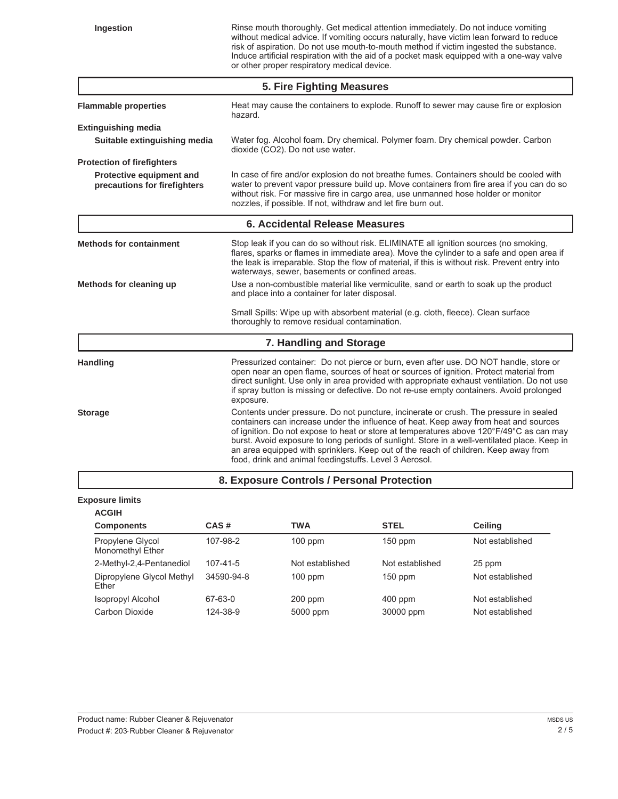**Ingestion** Rinse mouth thoroughly. Get medical attention immediately. Do not induce vomiting without medical advice. If vomiting occurs naturally, have victim lean forward to reduce risk of aspiration. Do not use mouth-to-mouth method if victim ingested the substance. Induce artificial respiration with the aid of a pocket mask equipped with a one-way valve or other proper respiratory medical device.

| 5. Fire Fighting Measures                                |                                                                                                                                                                                                                                                                                                                                                                                                                                                                                                                           |  |
|----------------------------------------------------------|---------------------------------------------------------------------------------------------------------------------------------------------------------------------------------------------------------------------------------------------------------------------------------------------------------------------------------------------------------------------------------------------------------------------------------------------------------------------------------------------------------------------------|--|
| <b>Flammable properties</b>                              | Heat may cause the containers to explode. Runoff to sewer may cause fire or explosion<br>hazard.                                                                                                                                                                                                                                                                                                                                                                                                                          |  |
| <b>Extinguishing media</b>                               |                                                                                                                                                                                                                                                                                                                                                                                                                                                                                                                           |  |
| Suitable extinguishing media                             | Water fog. Alcohol foam. Dry chemical. Polymer foam. Dry chemical powder. Carbon<br>dioxide (CO2). Do not use water.                                                                                                                                                                                                                                                                                                                                                                                                      |  |
| <b>Protection of firefighters</b>                        |                                                                                                                                                                                                                                                                                                                                                                                                                                                                                                                           |  |
| Protective equipment and<br>precautions for firefighters | In case of fire and/or explosion do not breathe fumes. Containers should be cooled with<br>water to prevent vapor pressure build up. Move containers from fire area if you can do so<br>without risk. For massive fire in cargo area, use unmanned hose holder or monitor<br>nozzles, if possible. If not, withdraw and let fire burn out.                                                                                                                                                                                |  |
|                                                          | <b>6. Accidental Release Measures</b>                                                                                                                                                                                                                                                                                                                                                                                                                                                                                     |  |
| <b>Methods for containment</b>                           | Stop leak if you can do so without risk. ELIMINATE all ignition sources (no smoking,<br>flares, sparks or flames in immediate area). Move the cylinder to a safe and open area if<br>the leak is irreparable. Stop the flow of material, if this is without risk. Prevent entry into<br>waterways, sewer, basements or confined areas.                                                                                                                                                                                    |  |
| Methods for cleaning up                                  | Use a non-combustible material like vermiculite, sand or earth to soak up the product<br>and place into a container for later disposal.                                                                                                                                                                                                                                                                                                                                                                                   |  |
|                                                          | Small Spills: Wipe up with absorbent material (e.g. cloth, fleece). Clean surface<br>thoroughly to remove residual contamination.                                                                                                                                                                                                                                                                                                                                                                                         |  |
|                                                          | 7. Handling and Storage                                                                                                                                                                                                                                                                                                                                                                                                                                                                                                   |  |
| Handling                                                 | Pressurized container: Do not pierce or burn, even after use. DO NOT handle, store or<br>open near an open flame, sources of heat or sources of ignition. Protect material from<br>direct sunlight. Use only in area provided with appropriate exhaust ventilation. Do not use<br>if spray button is missing or defective. Do not re-use empty containers. Avoid prolonged<br>exposure.                                                                                                                                   |  |
| <b>Storage</b>                                           | Contents under pressure. Do not puncture, incinerate or crush. The pressure in sealed<br>containers can increase under the influence of heat. Keep away from heat and sources<br>of ignition. Do not expose to heat or store at temperatures above 120°F/49°C as can may<br>burst. Avoid exposure to long periods of sunlight. Store in a well-ventilated place. Keep in<br>an area equipped with sprinklers. Keep out of the reach of children. Keep away from<br>food, drink and animal feedingstuffs. Level 3 Aerosol. |  |
|                                                          | 8. Exposure Controls / Personal Protection                                                                                                                                                                                                                                                                                                                                                                                                                                                                                |  |

#### **Exposure limits**

| <b>ACGIH</b>                         |                |                 |                 |                 |
|--------------------------------------|----------------|-----------------|-----------------|-----------------|
| <b>Components</b>                    | CAS#           | <b>TWA</b>      | <b>STEL</b>     | Ceiling         |
| Propylene Glycol<br>Monomethyl Ether | 107-98-2       | $100$ ppm       | $150$ ppm       | Not established |
| 2-Methyl-2,4-Pentanediol             | $107 - 41 - 5$ | Not established | Not established | 25 ppm          |
| Dipropylene Glycol Methyl<br>Ether   | 34590-94-8     | $100$ ppm       | $150$ ppm       | Not established |
| Isopropyl Alcohol                    | 67-63-0        | $200$ ppm       | $400$ ppm       | Not established |
| Carbon Dioxide                       | 124-38-9       | 5000 ppm        | 30000 ppm       | Not established |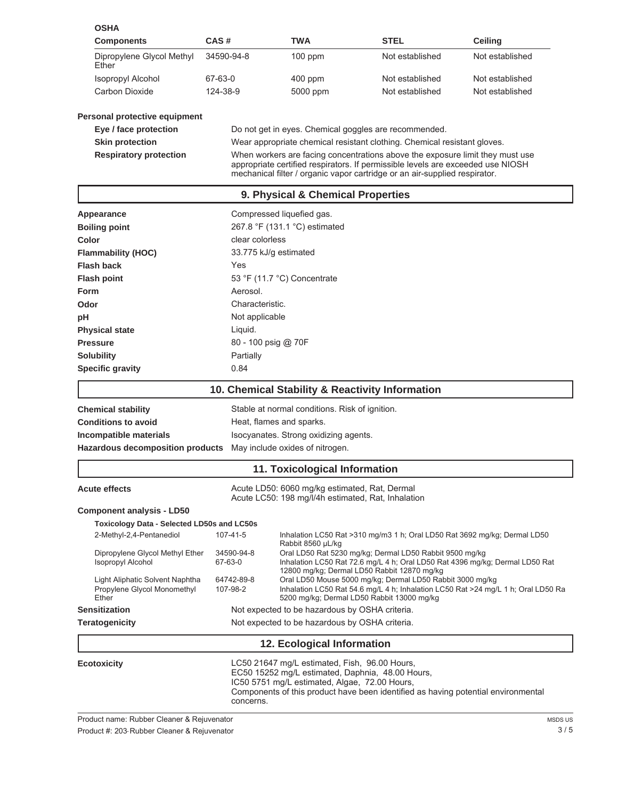| <b>OSHA</b>                                                             |                        |                                                                                                                                                    |                                                                                                                                                                                                                                                |                                                                                   |
|-------------------------------------------------------------------------|------------------------|----------------------------------------------------------------------------------------------------------------------------------------------------|------------------------------------------------------------------------------------------------------------------------------------------------------------------------------------------------------------------------------------------------|-----------------------------------------------------------------------------------|
| <b>Components</b>                                                       | CAS#                   | <b>TWA</b>                                                                                                                                         | <b>STEL</b>                                                                                                                                                                                                                                    | Ceiling                                                                           |
| Dipropylene Glycol Methyl<br>Ether                                      | 34590-94-8             | 100 ppm                                                                                                                                            | Not established                                                                                                                                                                                                                                | Not established                                                                   |
| <b>Isopropyl Alcohol</b>                                                | 67-63-0                | 400 ppm                                                                                                                                            | Not established                                                                                                                                                                                                                                | Not established                                                                   |
| Carbon Dioxide                                                          | 124-38-9               | 5000 ppm                                                                                                                                           | Not established                                                                                                                                                                                                                                | Not established                                                                   |
| Personal protective equipment                                           |                        |                                                                                                                                                    |                                                                                                                                                                                                                                                |                                                                                   |
| Eye / face protection                                                   |                        |                                                                                                                                                    | Do not get in eyes. Chemical goggles are recommended.                                                                                                                                                                                          |                                                                                   |
| <b>Skin protection</b>                                                  |                        |                                                                                                                                                    | Wear appropriate chemical resistant clothing. Chemical resistant gloves.                                                                                                                                                                       |                                                                                   |
| <b>Respiratory protection</b>                                           |                        |                                                                                                                                                    | When workers are facing concentrations above the exposure limit they must use<br>appropriate certified respirators. If permissible levels are exceeded use NIOSH<br>mechanical filter / organic vapor cartridge or an air-supplied respirator. |                                                                                   |
|                                                                         |                        | 9. Physical & Chemical Properties                                                                                                                  |                                                                                                                                                                                                                                                |                                                                                   |
| Appearance                                                              |                        | Compressed liquefied gas.                                                                                                                          |                                                                                                                                                                                                                                                |                                                                                   |
| <b>Boiling point</b>                                                    |                        | 267.8 °F (131.1 °C) estimated                                                                                                                      |                                                                                                                                                                                                                                                |                                                                                   |
| Color                                                                   | clear colorless        |                                                                                                                                                    |                                                                                                                                                                                                                                                |                                                                                   |
| <b>Flammability (HOC)</b>                                               |                        | 33.775 kJ/g estimated                                                                                                                              |                                                                                                                                                                                                                                                |                                                                                   |
| <b>Flash back</b>                                                       | Yes                    |                                                                                                                                                    |                                                                                                                                                                                                                                                |                                                                                   |
| <b>Flash point</b>                                                      |                        | 53 °F (11.7 °C) Concentrate                                                                                                                        |                                                                                                                                                                                                                                                |                                                                                   |
| Form                                                                    | Aerosol.               |                                                                                                                                                    |                                                                                                                                                                                                                                                |                                                                                   |
| Odor                                                                    | Characteristic.        |                                                                                                                                                    |                                                                                                                                                                                                                                                |                                                                                   |
| рH                                                                      | Not applicable         |                                                                                                                                                    |                                                                                                                                                                                                                                                |                                                                                   |
| <b>Physical state</b>                                                   | Liquid.                |                                                                                                                                                    |                                                                                                                                                                                                                                                |                                                                                   |
| <b>Pressure</b>                                                         |                        | 80 - 100 psig @ 70F                                                                                                                                |                                                                                                                                                                                                                                                |                                                                                   |
| <b>Solubility</b>                                                       | Partially              |                                                                                                                                                    |                                                                                                                                                                                                                                                |                                                                                   |
| <b>Specific gravity</b>                                                 | 0.84                   |                                                                                                                                                    |                                                                                                                                                                                                                                                |                                                                                   |
|                                                                         |                        |                                                                                                                                                    | 10. Chemical Stability & Reactivity Information                                                                                                                                                                                                |                                                                                   |
|                                                                         |                        |                                                                                                                                                    |                                                                                                                                                                                                                                                |                                                                                   |
| <b>Chemical stability</b>                                               |                        | Stable at normal conditions. Risk of ignition.                                                                                                     |                                                                                                                                                                                                                                                |                                                                                   |
| <b>Conditions to avoid</b>                                              |                        | Heat, flames and sparks.                                                                                                                           |                                                                                                                                                                                                                                                |                                                                                   |
| Incompatible materials                                                  |                        | Isocyanates. Strong oxidizing agents.                                                                                                              |                                                                                                                                                                                                                                                |                                                                                   |
| Hazardous decomposition products                                        |                        | May include oxides of nitrogen.                                                                                                                    |                                                                                                                                                                                                                                                |                                                                                   |
|                                                                         |                        | 11. Toxicological Information                                                                                                                      |                                                                                                                                                                                                                                                |                                                                                   |
| <b>Acute effects</b>                                                    |                        | Acute LD50: 6060 mg/kg estimated, Rat, Dermal<br>Acute LC50: 198 mg/l/4h estimated, Rat, Inhalation                                                |                                                                                                                                                                                                                                                |                                                                                   |
| <b>Component analysis - LD50</b>                                        |                        |                                                                                                                                                    |                                                                                                                                                                                                                                                |                                                                                   |
| <b>Toxicology Data - Selected LD50s and LC50s</b>                       |                        |                                                                                                                                                    |                                                                                                                                                                                                                                                |                                                                                   |
| 2-Methyl-2,4-Pentanediol                                                | 107-41-5               |                                                                                                                                                    | Inhalation LC50 Rat >310 mg/m3 1 h; Oral LD50 Rat 3692 mg/kg; Dermal LD50                                                                                                                                                                      |                                                                                   |
| Dipropylene Glycol Methyl Ether<br><b>Isopropyl Alcohol</b>             | 34590-94-8<br>67-63-0  | Rabbit 8560 µL/kg                                                                                                                                  | Oral LD50 Rat 5230 mg/kg; Dermal LD50 Rabbit 9500 mg/kg<br>Inhalation LC50 Rat 72.6 mg/L 4 h; Oral LD50 Rat 4396 mg/kg; Dermal LD50 Rat                                                                                                        |                                                                                   |
| Light Aliphatic Solvent Naphtha<br>Propylene Glycol Monomethyl<br>Ether | 64742-89-8<br>107-98-2 |                                                                                                                                                    | 12800 mg/kg; Dermal LD50 Rabbit 12870 mg/kg<br>Oral LD50 Mouse 5000 mg/kg; Dermal LD50 Rabbit 3000 mg/kg<br>5200 mg/kg; Dermal LD50 Rabbit 13000 mg/kg                                                                                         | Inhalation LC50 Rat 54.6 mg/L 4 h; Inhalation LC50 Rat >24 mg/L 1 h; Oral LD50 Ra |
| <b>Sensitization</b>                                                    |                        | Not expected to be hazardous by OSHA criteria.                                                                                                     |                                                                                                                                                                                                                                                |                                                                                   |
| <b>Teratogenicity</b>                                                   |                        | Not expected to be hazardous by OSHA criteria.                                                                                                     |                                                                                                                                                                                                                                                |                                                                                   |
|                                                                         |                        | 12. Ecological Information                                                                                                                         |                                                                                                                                                                                                                                                |                                                                                   |
| <b>Ecotoxicity</b>                                                      | concerns.              | LC50 21647 mg/L estimated, Fish, 96.00 Hours,<br>EC50 15252 mg/L estimated, Daphnia, 48.00 Hours,<br>IC50 5751 mg/L estimated, Algae, 72.00 Hours, | Components of this product have been identified as having potential environmental                                                                                                                                                              |                                                                                   |

Product name: Rubber Cleaner & Rejuvenator

Product #: 203-Rubber Cleaner & Rejuvenator 3 / 5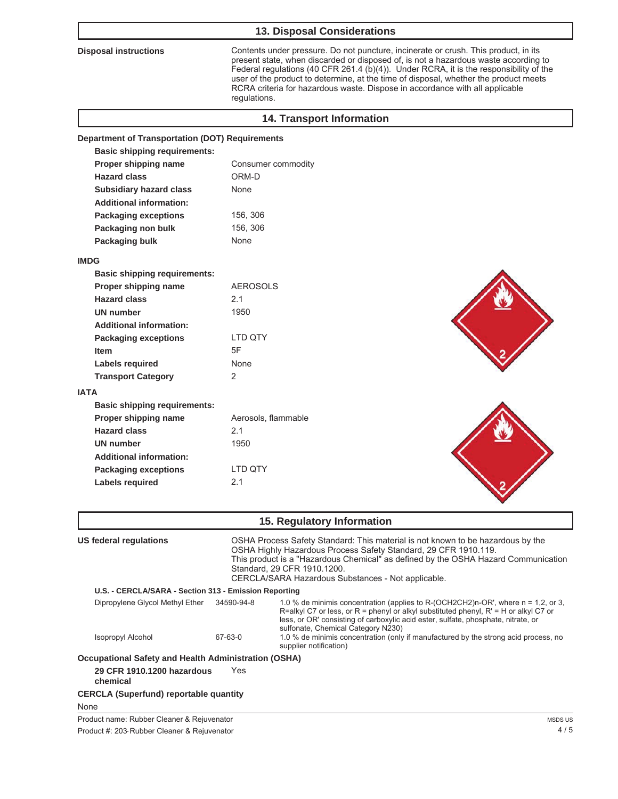### **13. Disposal Considerations**

**Disposal instructions** Contents under pressure. Do not puncture, incinerate or crush. This product, in its present state, when discarded or disposed of, is not a hazardous waste according to Federal regulations (40 CFR 261.4 (b)(4)). Under RCRA, it is the responsibility of the user of the product to determine, at the time of disposal, whether the product meets RCRA criteria for hazardous waste. Dispose in accordance with all applicable regulations.

| Consumer commodity                                                                                                                                                                                                                      |                                                                                    |
|-----------------------------------------------------------------------------------------------------------------------------------------------------------------------------------------------------------------------------------------|------------------------------------------------------------------------------------|
| ORM-D                                                                                                                                                                                                                                   |                                                                                    |
| None                                                                                                                                                                                                                                    |                                                                                    |
|                                                                                                                                                                                                                                         |                                                                                    |
| 156, 306                                                                                                                                                                                                                                |                                                                                    |
| 156, 306                                                                                                                                                                                                                                |                                                                                    |
| None                                                                                                                                                                                                                                    |                                                                                    |
|                                                                                                                                                                                                                                         |                                                                                    |
|                                                                                                                                                                                                                                         |                                                                                    |
| <b>AEROSOLS</b>                                                                                                                                                                                                                         |                                                                                    |
| 2.1                                                                                                                                                                                                                                     |                                                                                    |
| 1950                                                                                                                                                                                                                                    |                                                                                    |
|                                                                                                                                                                                                                                         |                                                                                    |
| LTD QTY                                                                                                                                                                                                                                 |                                                                                    |
| 5F                                                                                                                                                                                                                                      |                                                                                    |
| None                                                                                                                                                                                                                                    |                                                                                    |
| 2                                                                                                                                                                                                                                       |                                                                                    |
|                                                                                                                                                                                                                                         |                                                                                    |
|                                                                                                                                                                                                                                         |                                                                                    |
| Aerosols, flammable                                                                                                                                                                                                                     |                                                                                    |
| 2.1                                                                                                                                                                                                                                     |                                                                                    |
| 1950                                                                                                                                                                                                                                    |                                                                                    |
|                                                                                                                                                                                                                                         |                                                                                    |
| LTD QTY                                                                                                                                                                                                                                 |                                                                                    |
| 2.1                                                                                                                                                                                                                                     |                                                                                    |
|                                                                                                                                                                                                                                         |                                                                                    |
| 15. Regulatory Information                                                                                                                                                                                                              |                                                                                    |
| OSHA Process Safety Standard: This material is not known to be hazardous by the<br>OSHA Highly Hazardous Process Safety Standard, 29 CFR 1910.119.<br>Standard, 29 CFR 1910.1200.<br>CERCLA/SARA Hazardous Substances - Not applicable. | This product is a "Hazardous Chemical" as defined by the OSHA Hazard Communication |
|                                                                                                                                                                                                                                         | <b>Department of Transportation (DOT) Requirements</b>                             |

| Dipropylene Glycol Methyl Ether                             | 34590-94-8 | 1.0 % de minimis concentration (applies to R-(OCH2CH2)n-OR', where n = 1.2, or 3,<br>R=alkyl C7 or less, or R = phenyl or alkyl substituted phenyl, $R' = H$ or alkyl C7 or<br>less, or OR' consisting of carboxylic acid ester, sulfate, phosphate, nitrate, or<br>sulfonate, Chemical Category N230) |
|-------------------------------------------------------------|------------|--------------------------------------------------------------------------------------------------------------------------------------------------------------------------------------------------------------------------------------------------------------------------------------------------------|
| <b>Isopropyl Alcohol</b>                                    | 67-63-0    | 1.0 % de minimis concentration (only if manufactured by the strong acid process, no<br>supplier notification)                                                                                                                                                                                          |
| <b>Occupational Safety and Health Administration (OSHA)</b> |            |                                                                                                                                                                                                                                                                                                        |

**29 CFR 1910.1200 hazardous chemical** Yes

**CERCLA (Superfund) reportable quantity**

None

Product name: Rubber Cleaner & Rejuvenator

Product #: 203- Rubber Cleaner & Rejuvenator 4 / 5